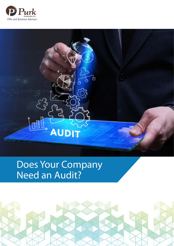



# Does Your Company Need an Audit?

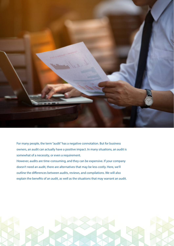

For many people, the term "audit" has a negative connotation. But for business owners, an audit can actually have a positive impact. In many situations, an audit is somewhat of a necessity, or even a requirement. However, audits are time-consuming, and they can be expensive. If your company

doesn't need an audit, there are alternatives that may be less costly. Here, we'll outline the differences between audits, reviews, and compilations. We will also explain the benefits of an audit, as well as the situations that may warrant an audit.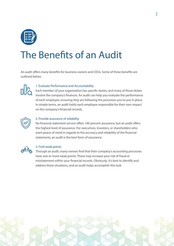

# The Benefits of an Audit

An audit offers many benefits for business owners and CEOs. Some of these benefits are outlined below.



#### **1. Evaluate Performance and Accountability**

Each member of your organization has specific duties, and many of those duties involve the company's finances. An audit can help you evaluate the performance of each employee, ensuring they are following the processes you've put in place. In simple terms, an audit holds each employee responsible for their own impact on the company's financial records.



#### **2. Provide assurance of reliability**

No financial statement service offers 100 percent assurance, but an audit offers the highest level of assurance. For executives, investors, or shareholders who want peace of mind in regards to the accuracy and reliability of the financial statements, an audit is the best form of assurance.



#### **3. Find weak points**

Through an audit, many owners find that their company's accounting processes have one or more weak points. These may increase your risk of fraud or misstatement within your financial records. Obviously, it's best to identify and address these situations, and an audit helps accomplish this task.

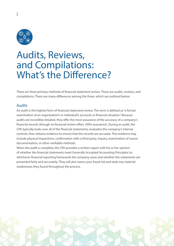

 $\overline{4}$ 

### Audits, Reviews, and Compilations: What's the Difference?

There are three primary methods of financial statement review. These are audits, reviews, and compilations. There are many differences among the three, which are outlined below.

#### Audits

An audit is the highest form of financial statement review. The term is defined as "a formal examination of an organization's or individual's accounts or financial situation." Because audits are incredibly detailed, they offer the most assurance of the accuracy of a company's financial records (though no financial review offers 100% assurance). During an audit, the CPA typically looks over all of the financial statements, evaluates the company's internal controls, then obtains evidence to ensure that the records are accurate. This evidence may include physical inspections, confirmation with a third party, inquiry, examination of source documentation, or other verifiable methods.

When the audit is complete, the CPA provides a written report with his or her opinion of whether the financial statements meet Generally Accepted Accounting Principles (or whichever financial reporting framework the company uses) and whether the statements are presented fairly and accurately. They will also assess your fraud risk and state any material weaknesses they found throughout the process.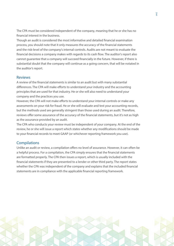The CPA must be considered independent of the company, meaning that he or she has no financial interest in the business.

Though an audit is considered the most informative and detailed financial examination process, you should note that it only measures the accuracy of the financial statements and the risk-level of the company's internal controls. Audits are not meant to evaluate the financial decisions a company makes with regards to its cash flow. The auditor's report also cannot guarantee that a company will succeed financially in the future. However, if there is substantial doubt that the company will continue as a going concern, that will be notated in the auditor's report.

#### Reviews

A review of the financial statements is similar to an audit but with many substantial differences. The CPA will make efforts to understand your industry and the accounting principles that are used for that industry. He or she will also need to understand your company and the practices you use.

However, the CPA will not make efforts to understand your internal controls or make any assessments on your risk for fraud. He or she will evaluate and test your accounting records, but the methods used are generally stringent than those used during an audit. Therefore, reviews offer some assurance of the accuracy of the financial statements, but it's not as high as the assurance provided by an audit.

The CPA who conducts your review must be independent of your company. At the end of the review, he or she will issue a report which states whether any modifications should be made to your financial records to meet GAAP (or whichever reporting framework you use).

#### **Compilations**

Unlike an audit or review, a compilation offers no level of assurance. However, it can often be a helpful process. For a compilation, the CPA simply ensures that the financial statements are formatted properly. The CPA then issues a report, which is usually included with the financial statements if they are presented to a lender or other third party. The report states whether the CPA was independent of the company and explains that the included financial statements are in compliance with the applicable financial reporting framework.

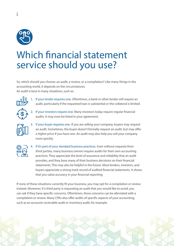

### Which financial statement service should you use?

So, which should you choose: an audit, a review, or a compilation? Like many things in the accounting world, it depends on the circumstances. An audit is best in many situations, such as:



**1. If your lender requires one.** Oftentimes, a bank or other lender will require an audit, particularly if the requested loan is substantial or the collateral is limited.



**2. If your investors require one.** Many investors today require regular financial audits. It may even be listed in your agreement.



**3. If your buyer requires one**. If you are selling your company, buyers may request an audit. Sometimes, the buyer doesn't formally request an audit, but may offer a higher price if you have one. An audit may also help you sell your company more quickly.



**4. If it's part of your standard business practices**. Even without requests from third parties, many business owners require audits for their own accounting practices. They appreciate the level of assurance and reliability that an audit provides, and they base many of their business decisions on their financial statements. This may also be helpful in the future. Most lenders, investors, and buyers appreciate a strong track record of audited financial statements. It shows that you value accuracy in your financial reporting.

If none of these situations currently fit your business, you may opt for a compilation or review instead. Moreover, if a third party is requesting an audit that you would like to avoid, you can ask if they have specific concerns. Oftentimes, these concerns can be alleviated with a compilation or review. Many CPAs also offer audits of specific aspects of your accounting, such as an accounts receivable audit or inventory audit, for example.

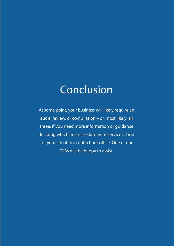# Conclusion

At some point, your business will likely require an audit, review, or compilation – or, most likely, all three. If you need more information or guidance deciding which financial statement service is best for your situation, contact our office. One of our CPAs will be happy to assist.